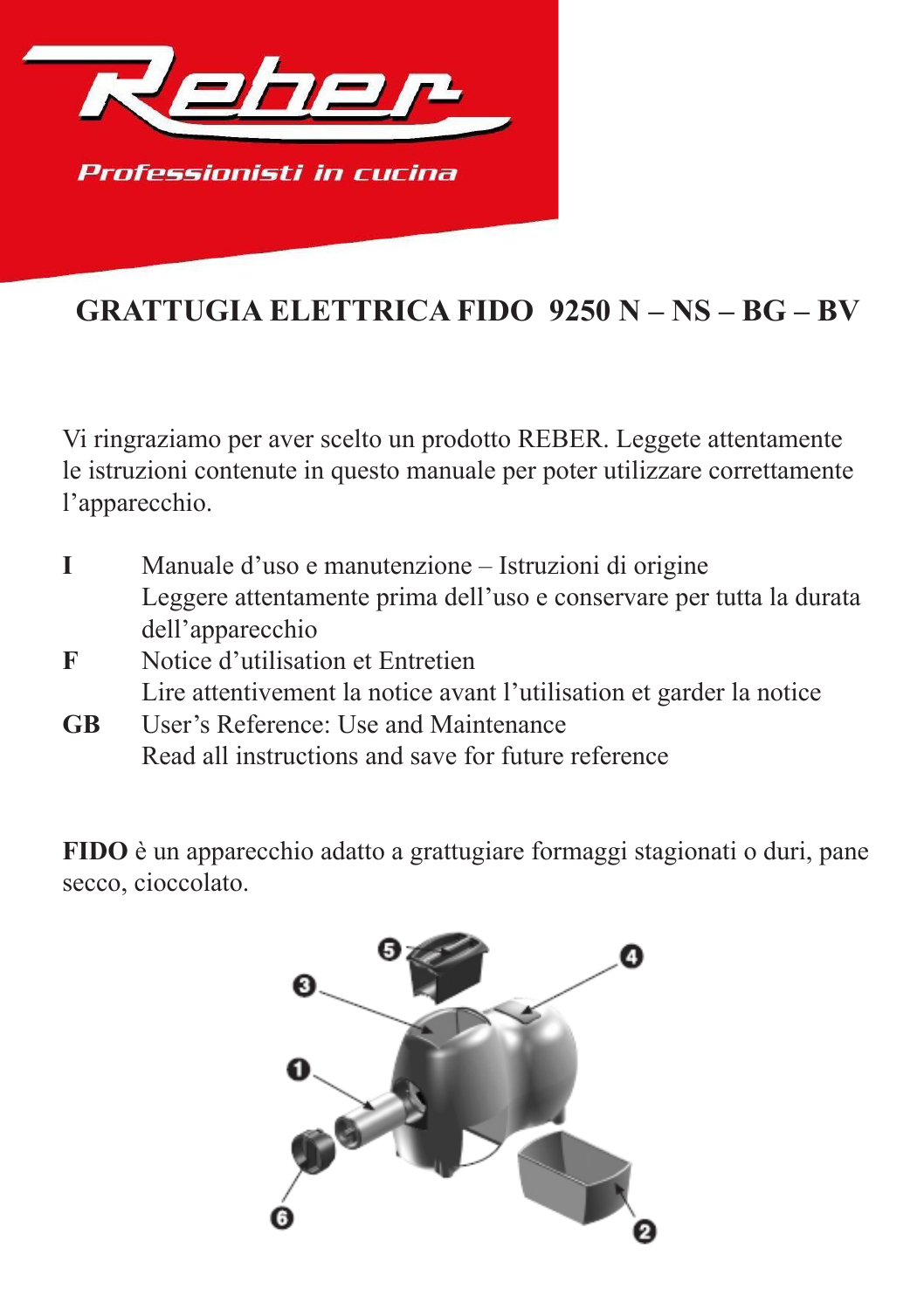

## **GRATTUGIA ELETTRICA FIDO 9250 N – NS – BG – BV**

Vi ringraziamo per aver scelto un prodotto REBER. Leggete attentamente le istruzioni contenute in questo manuale per poter utilizzare correttamente l'apparecchio.

- **I** Manuale d'uso e manutenzione Istruzioni di origine Leggere attentamente prima dell'uso e conservare per tutta la durata dell'apparecchio
- **F** Notice d'utilisation et Entretien Lire attentivement la notice avant l'utilisation et garder la notice
- **GB** User's Reference: Use and Maintenance Read all instructions and save for future reference

**FIDO** è un apparecchio adatto a grattugiare formaggi stagionati o duri, pane secco, cioccolato.

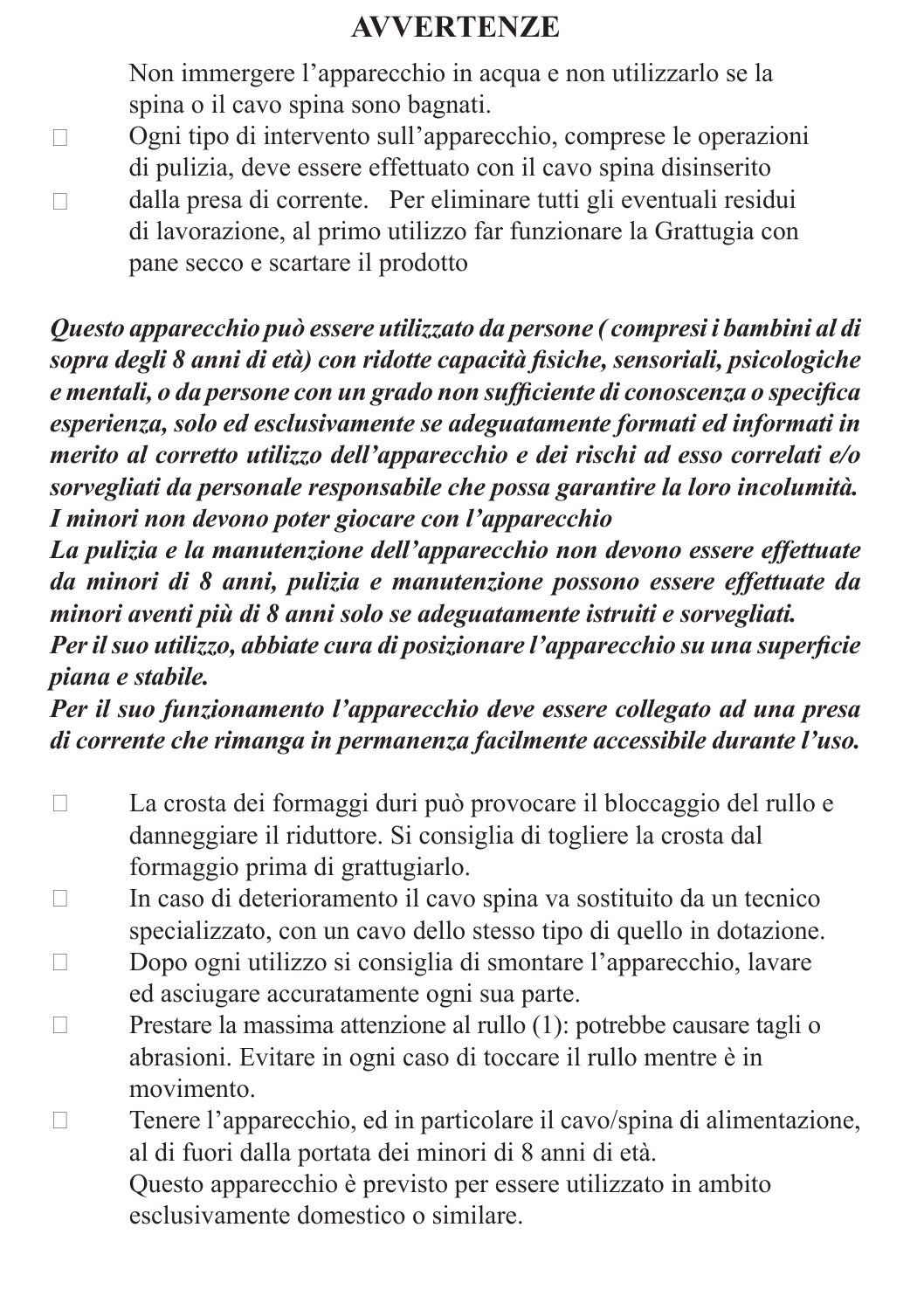### **AVVERTENZE**

Non immergere l'apparecchio in acqua e non utilizzarlo se la spina o il cavo spina sono bagnati.

- $\Box$ Ogni tipo di intervento sull'apparecchio, comprese le operazioni di pulizia, deve essere effettuato con il cavo spina disinserito
- $\Box$ dalla presa di corrente. Per eliminare tutti gli eventuali residui di lavorazione, al primo utilizzo far funzionare la Grattugia con pane secco e scartare il prodotto

*Questo apparecchio può essere utilizzato da persone ( compresi i bambini al di sopra degli 8 anni di età) con ridotte capacità fisiche, sensoriali, psicologiche e mentali, o da persone con un grado non sufficiente di conoscenza o specifica esperienza, solo ed esclusivamente se adeguatamente formati ed informati in merito al corretto utilizzo dell'apparecchio e dei rischi ad esso correlati e/o sorvegliati da personale responsabile che possa garantire la loro incolumità. I minori non devono poter giocare con l'apparecchio*

*La pulizia e la manutenzione dell'apparecchio non devono essere effettuate da minori di 8 anni, pulizia e manutenzione possono essere effettuate da minori aventi più di 8 anni solo se adeguatamente istruiti e sorvegliati.*

*Per il suo utilizzo, abbiate cura di posizionare l'apparecchio su una superficie piana e stabile.* 

*Per il suo funzionamento l'apparecchio deve essere collegato ad una presa di corrente che rimanga in permanenza facilmente accessibile durante l'uso.*

- La crosta dei formaggi duri può provocare il bloccaggio del rullo e danneggiare il riduttore. Si consiglia di togliere la crosta dal formaggio prima di grattugiarlo.
- $\Box$  In caso di deterioramento il cavo spina va sostituito da un tecnico specializzato, con un cavo dello stesso tipo di quello in dotazione.
- Dopo ogni utilizzo si consiglia di smontare l'apparecchio, lavare ed asciugare accuratamente ogni sua parte.
- □ Prestare la massima attenzione al rullo (1): potrebbe causare tagli o abrasioni. Evitare in ogni caso di toccare il rullo mentre è in movimento.
- Tenere l'apparecchio, ed in particolare il cavo/spina di alimentazione, al di fuori dalla portata dei minori di 8 anni di età. Questo apparecchio è previsto per essere utilizzato in ambito esclusivamente domestico o similare.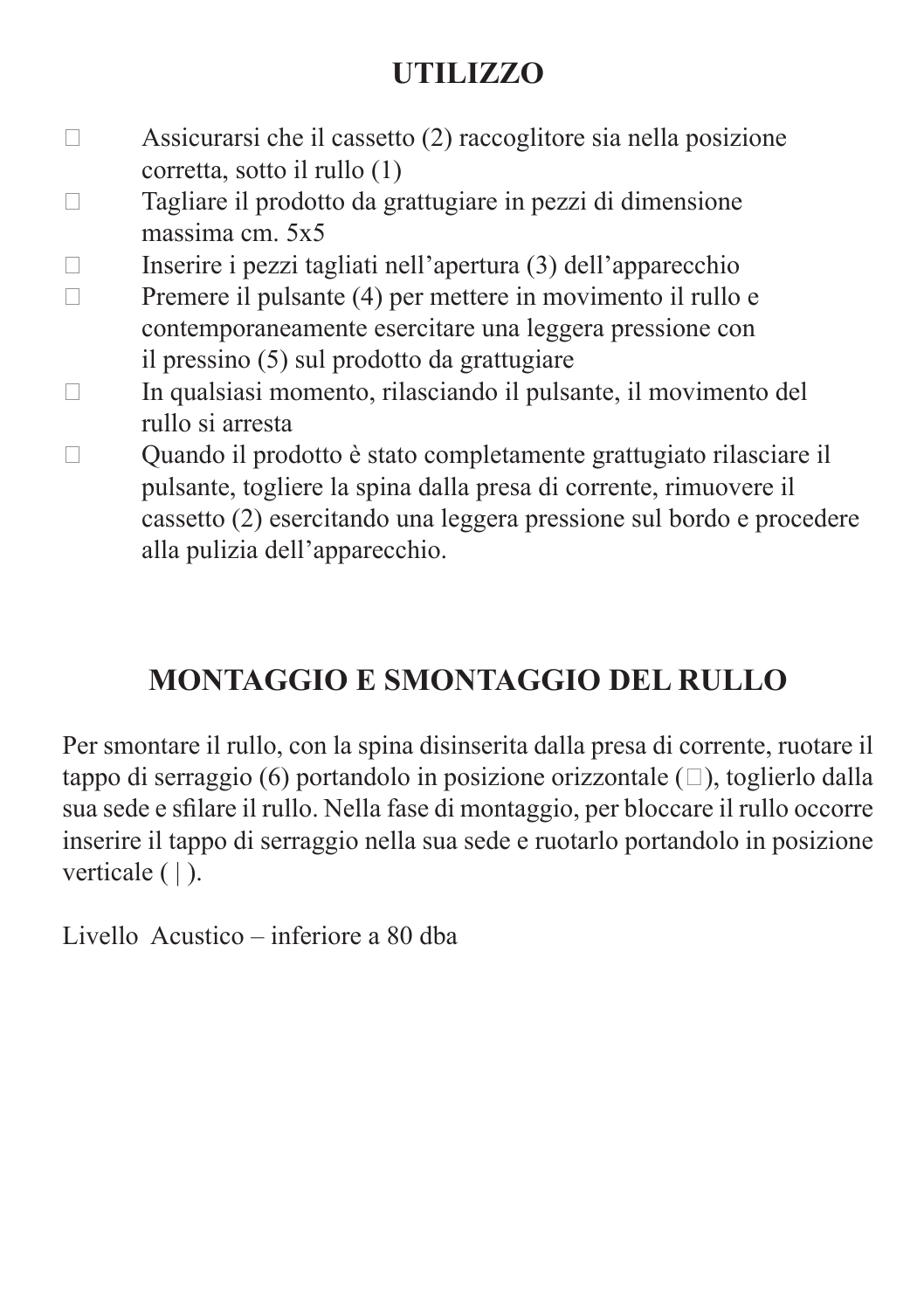## **UTILIZZO**

- $\Box$  Assicurarsi che il cassetto (2) raccoglitore sia nella posizione corretta, sotto il rullo (1)
- $\Box$  Tagliare il prodotto da grattugiare in pezzi di dimensione massima cm. 5x5

 $\Box$  Inserire i pezzi tagliati nell'apertura (3) dell'apparecchio

- $\Box$  Premere il pulsante (4) per mettere in movimento il rullo e contemporaneamente esercitare una leggera pressione con il pressino (5) sul prodotto da grattugiare
- $\Box$  In qualsiasi momento, rilasciando il pulsante, il movimento del rullo si arresta
- Quando il prodotto è stato completamente grattugiato rilasciare il pulsante, togliere la spina dalla presa di corrente, rimuovere il cassetto (2) esercitando una leggera pressione sul bordo e procedere alla pulizia dell'apparecchio.

## **MONTAGGIO E SMONTAGGIO DEL RULLO**

Per smontare il rullo, con la spina disinserita dalla presa di corrente, ruotare il tappo di serraggio (6) portandolo in posizione orizzontale  $(\square)$ , toglierlo dalla sua sede e sfilare il rullo. Nella fase di montaggio, per bloccare il rullo occorre inserire il tappo di serraggio nella sua sede e ruotarlo portandolo in posizione verticale ( | ).

Livello Acustico – inferiore a 80 dba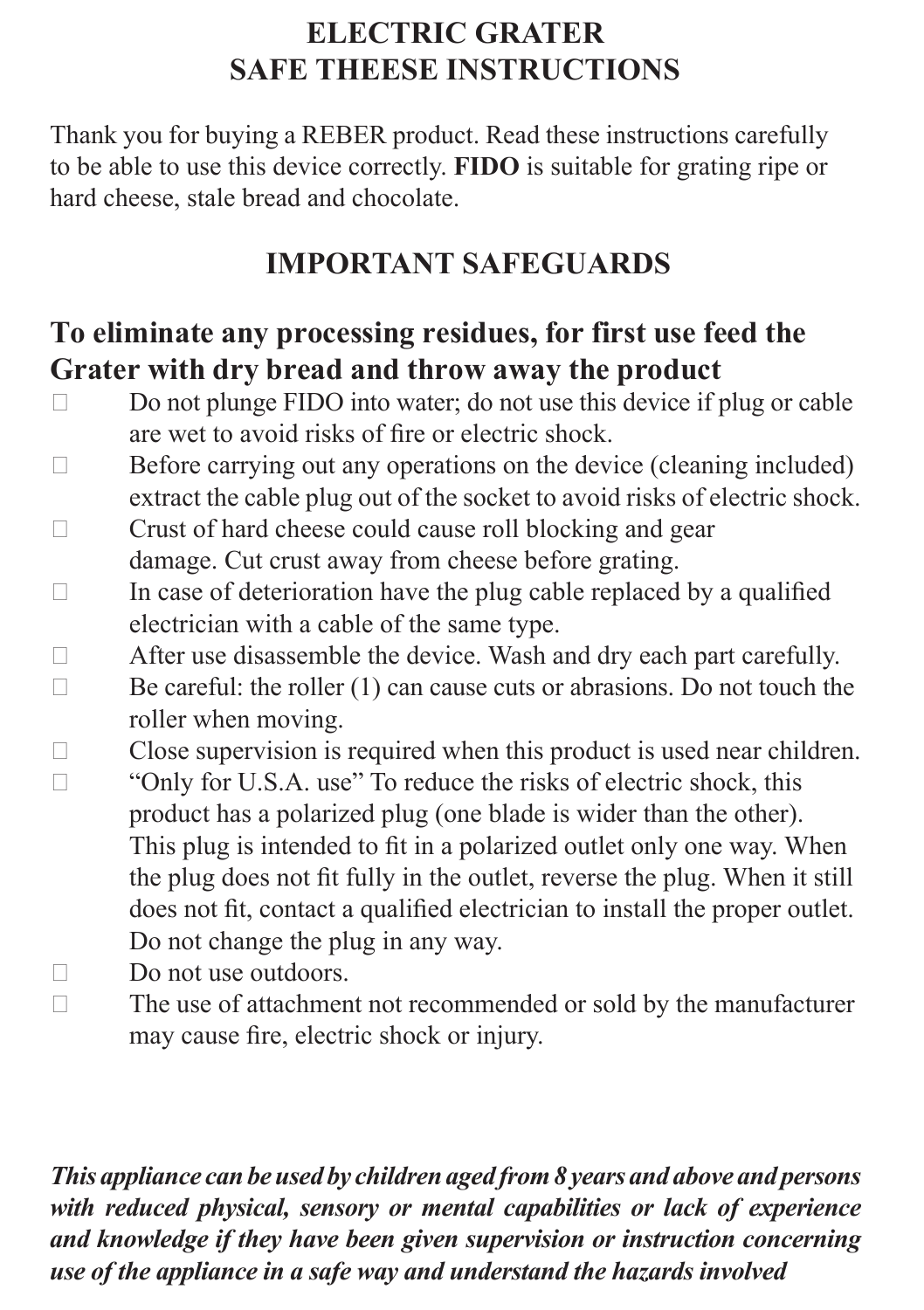### **ELECTRIC GRATER SAFE THEESE INSTRUCTIONS**

Thank you for buying a REBER product. Read these instructions carefully to be able to use this device correctly. **FIDO** is suitable for grating ripe or hard cheese, stale bread and chocolate.

### **IMPORTANT SAFEGUARDS**

#### **To eliminate any processing residues, for first use feed the Grater with dry bread and throw away the product**

- $\Box$  Do not plunge FIDO into water; do not use this device if plug or cable are wet to avoid risks of fire or electric shock.
- $\Box$  Before carrying out any operations on the device (cleaning included) extract the cable plug out of the socket to avoid risks of electric shock.  $\Box$  Crust of hard cheese could cause roll blocking and gear
- damage. Cut crust away from cheese before grating.
- $\Box$  In case of deterioration have the plug cable replaced by a qualified electrician with a cable of the same type.
- $\Box$  After use disassemble the device. Wash and dry each part carefully.  $\Box$  Be careful: the roller (1) can cause cuts or abrasions. Do not touch the roller when moving.
- $\Box$  Close supervision is required when this product is used near children.  $\Box$  "Only for U.S.A. use" To reduce the risks of electric shock, this product has a polarized plug (one blade is wider than the other). This plug is intended to fit in a polarized outlet only one way. When the plug does not fit fully in the outlet, reverse the plug. When it still does not fit, contact a qualified electrician to install the proper outlet. Do not change the plug in any way.
- $\Box$  Do not use outdoors.
- $\Box$  The use of attachment not recommended or sold by the manufacturer may cause fire, electric shock or injury.

*This appliance can be used by children aged from 8 years and above and persons with reduced physical, sensory or mental capabilities or lack of experience and knowledge if they have been given supervision or instruction concerning use of the appliance in a safe way and understand the hazards involved*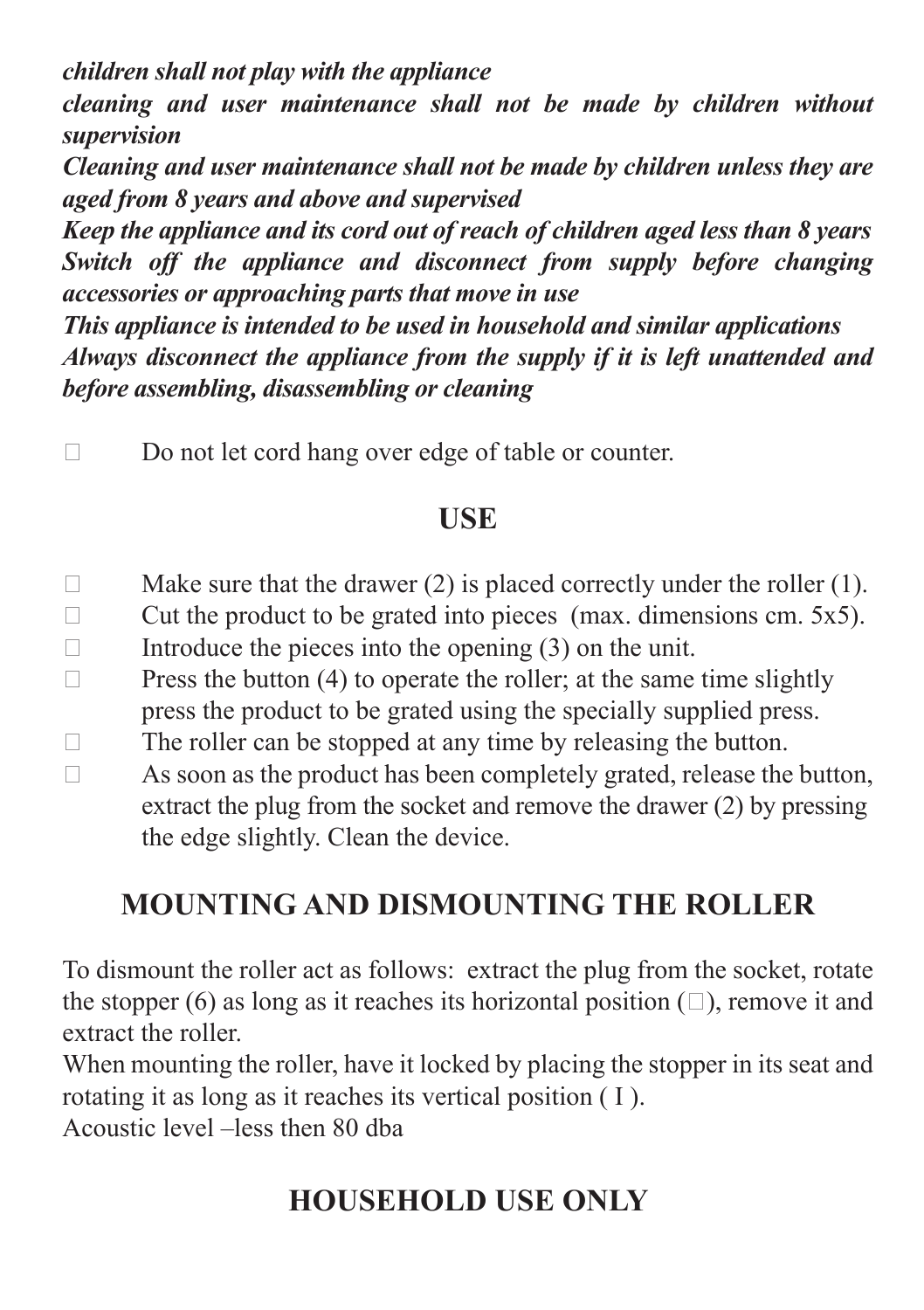*children shall not play with the appliance*

*cleaning and user maintenance shall not be made by children without supervision*

*Cleaning and user maintenance shall not be made by children unless they are aged from 8 years and above and supervised*

*Keep the appliance and its cord out of reach of children aged less than 8 years Switch off the appliance and disconnect from supply before changing accessories or approaching parts that move in use*

*This appliance is intended to be used in household and similar applications Always disconnect the appliance from the supply if it is left unattended and before assembling, disassembling or cleaning*

□ Do not let cord hang over edge of table or counter.

#### **USE**

- $\Box$  Make sure that the drawer (2) is placed correctly under the roller (1).
- $\Box$  Cut the product to be grated into pieces (max. dimensions cm. 5x5). Introduce the pieces into the opening  $(3)$  on the unit.
- $\Box$  Press the button (4) to operate the roller; at the same time slightly
	- press the product to be grated using the specially supplied press.
- $\Box$  The roller can be stopped at any time by releasing the button.
- $\Box$  As soon as the product has been completely grated, release the button, extract the plug from the socket and remove the drawer (2) by pressing the edge slightly. Clean the device.

## **MOUNTING AND DISMOUNTING THE ROLLER**

To dismount the roller act as follows: extract the plug from the socket, rotate the stopper (6) as long as it reaches its horizontal position  $(\square)$ , remove it and extract the roller.

When mounting the roller, have it locked by placing the stopper in its seat and rotating it as long as it reaches its vertical position ( I ).

Acoustic level –less then 80 dba

## **HOUSEHOLD USE ONLY**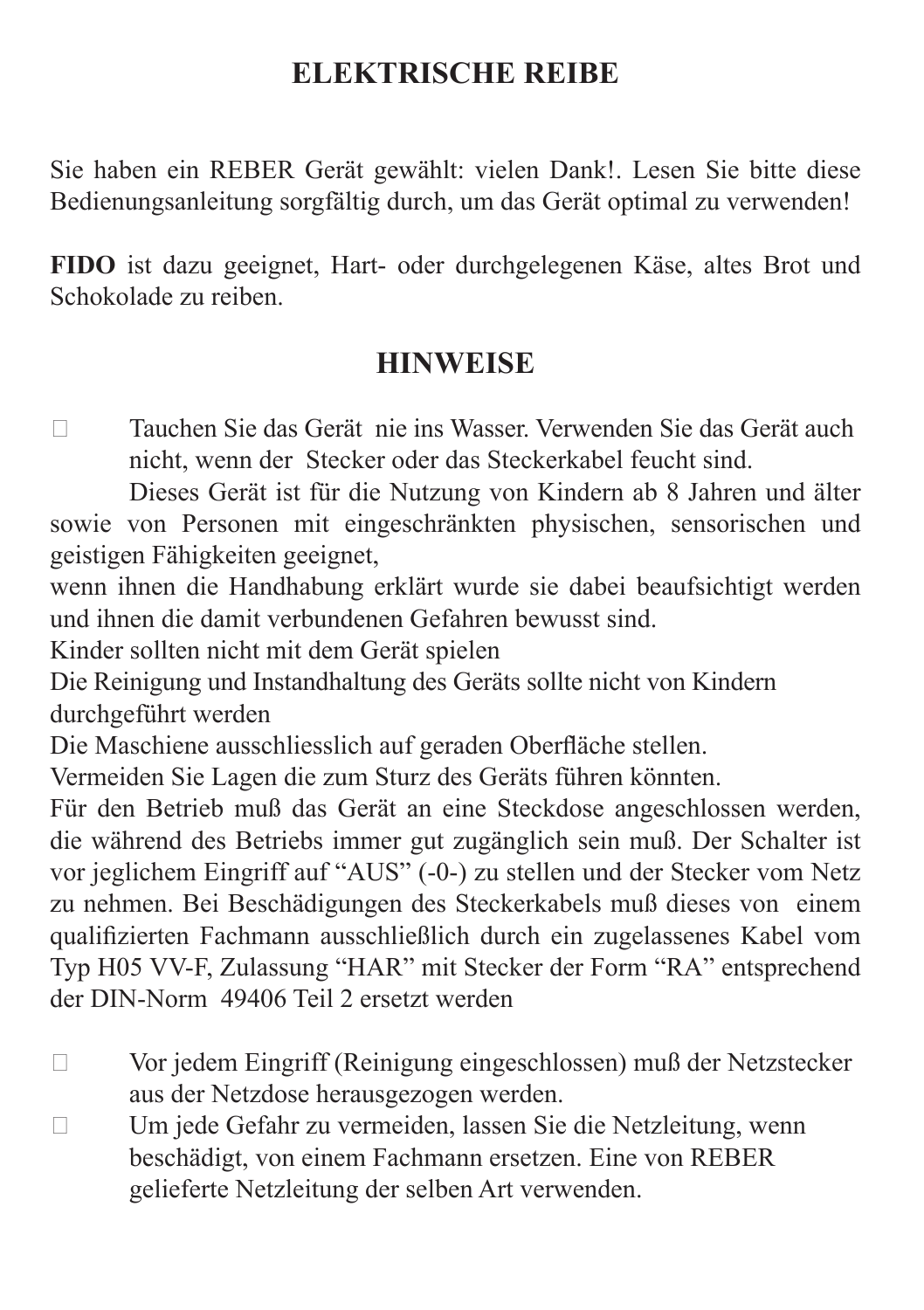#### **ELEKTRISCHE REIBE**

Sie haben ein REBER Gerät gewählt: vielen Dank!. Lesen Sie bitte diese Bedienungsanleitung sorgfältig durch, um das Gerät optimal zu verwenden!

**FIDO** ist dazu geeignet, Hart- oder durchgelegenen Käse, altes Brot und Schokolade zu reiben.

#### **HINWEISE**

 Tauchen Sie das Gerät nie ins Wasser. Verwenden Sie das Gerät auch nicht, wenn der Stecker oder das Steckerkabel feucht sind.

Dieses Gerät ist für die Nutzung von Kindern ab 8 Jahren und älter sowie von Personen mit eingeschränkten physischen, sensorischen und geistigen Fähigkeiten geeignet,

wenn ihnen die Handhabung erklärt wurde sie dabei beaufsichtigt werden und ihnen die damit verbundenen Gefahren bewusst sind.

Kinder sollten nicht mit dem Gerät spielen

Die Reinigung und Instandhaltung des Geräts sollte nicht von Kindern durchgeführt werden

Die Maschiene ausschliesslich auf geraden Oberfläche stellen.

Vermeiden Sie Lagen die zum Sturz des Geräts führen könnten.

Für den Betrieb muß das Gerät an eine Steckdose angeschlossen werden, die während des Betriebs immer gut zugänglich sein muß. Der Schalter ist vor jeglichem Eingriff auf "AUS" (-0-) zu stellen und der Stecker vom Netz zu nehmen. Bei Beschädigungen des Steckerkabels muß dieses von einem qualifizierten Fachmann ausschließlich durch ein zugelassenes Kabel vom Typ H05 VV-F, Zulassung "HAR" mit Stecker der Form "RA" entsprechend der DIN-Norm 49406 Teil 2 ersetzt werden

- Vor jedem Eingriff (Reinigung eingeschlossen) muß der Netzstecker aus der Netzdose herausgezogen werden.
- Um jede Gefahr zu vermeiden, lassen Sie die Netzleitung, wenn beschädigt, von einem Fachmann ersetzen. Eine von REBER gelieferte Netzleitung der selben Art verwenden.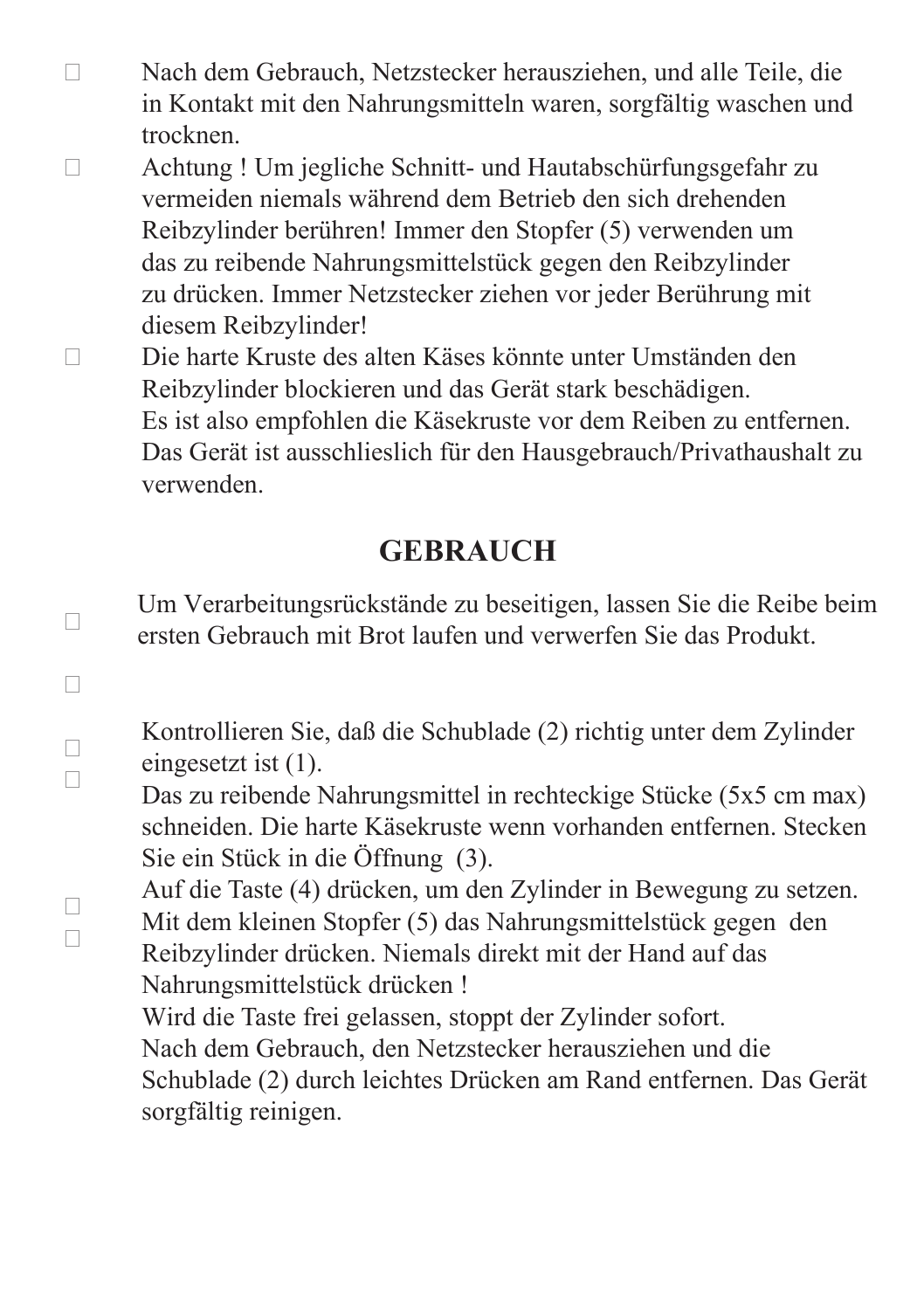- Nach dem Gebrauch, Netzstecker herausziehen, und alle Teile, die in Kontakt mit den Nahrungsmitteln waren, sorgfältig waschen und trocknen.
- Achtung ! Um jegliche Schnitt- und Hautabschürfungsgefahr zu vermeiden niemals während dem Betrieb den sich drehenden Reibzylinder berühren! Immer den Stopfer (5) verwenden um das zu reibende Nahrungsmittelstück gegen den Reibzylinder zu drücken. Immer Netzstecker ziehen vor jeder Berührung mit diesem Reibzylinder!
- Die harte Kruste des alten Käses könnte unter Umständen den Reibzylinder blockieren und das Gerät stark beschädigen. Es ist also empfohlen die Käsekruste vor dem Reiben zu entfernen. Das Gerät ist ausschlieslich für den Hausgebrauch/Privathaushalt zu verwenden.

#### **GEBRAUCH**

Um Verarbeitungsrückstände zu beseitigen, lassen Sie die Reibe beim ersten Gebrauch mit Brot laufen und verwerfen Sie das Produkt.

Kontrollieren Sie, daß die Schublade (2) richtig unter dem Zylinder eingesetzt ist (1).

Das zu reibende Nahrungsmittel in rechteckige Stücke (5x5 cm max) schneiden. Die harte Käsekruste wenn vorhanden entfernen. Stecken Sie ein Stück in die Öffnung (3).

Auf die Taste (4) drücken, um den Zylinder in Bewegung zu setzen. Mit dem kleinen Stopfer (5) das Nahrungsmittelstück gegen den Reibzylinder drücken. Niemals direkt mit der Hand auf das Nahrungsmittelstück drücken !

Wird die Taste frei gelassen, stoppt der Zylinder sofort. Nach dem Gebrauch, den Netzstecker herausziehen und die Schublade (2) durch leichtes Drücken am Rand entfernen. Das Gerät

sorgfältig reinigen.

 $\Box$ 

 $\Box$ 

 $\Box$  $\Box$ 

 $\Box$  $\Box$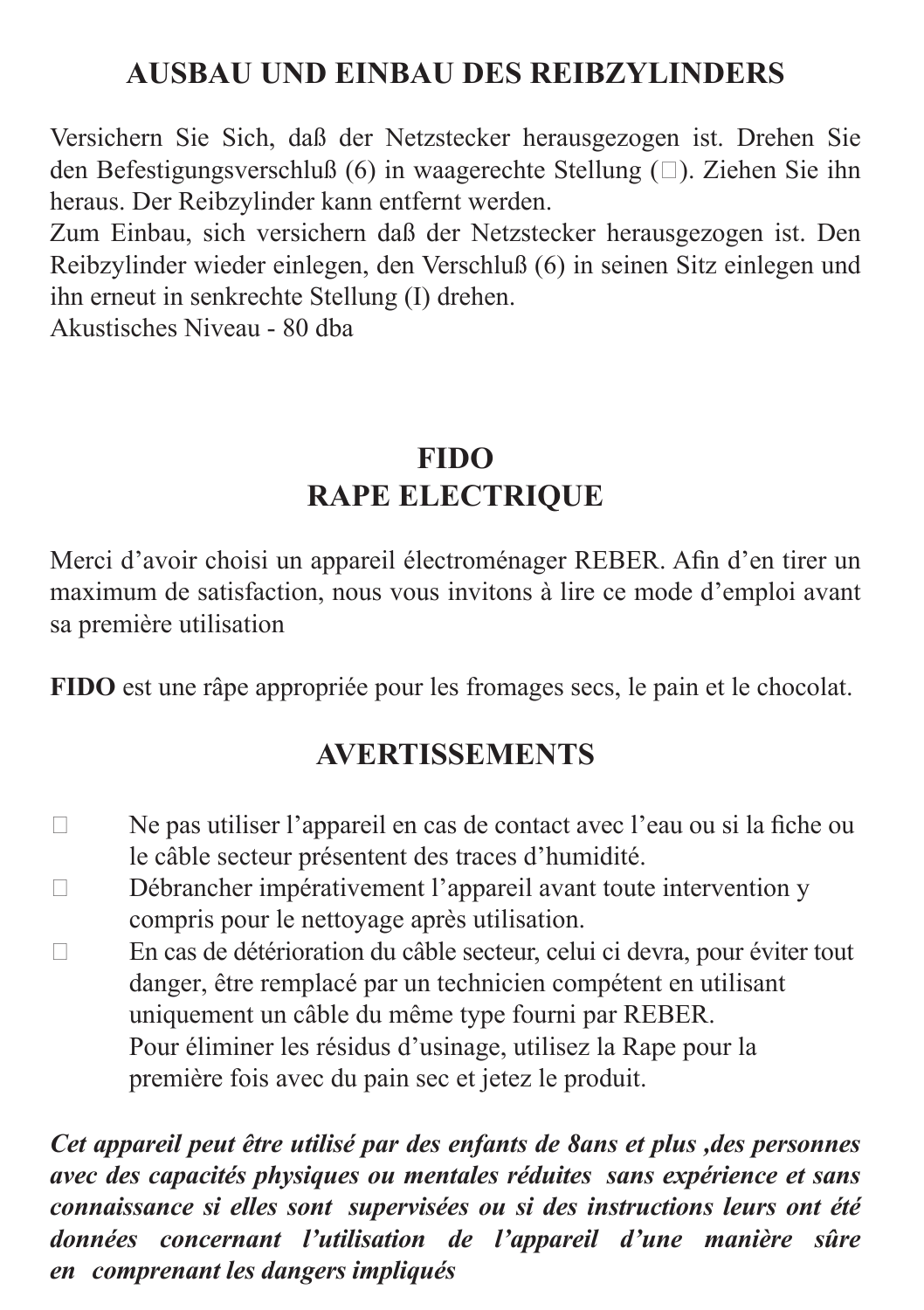#### **AUSBAU UND EINBAU DES REIBZYLINDERS**

Versichern Sie Sich, daß der Netzstecker herausgezogen ist. Drehen Sie den Befestigungsverschluß (6) in waagerechte Stellung ( $\Box$ ). Ziehen Sie ihn heraus. Der Reibzylinder kann entfernt werden.

Zum Einbau, sich versichern daß der Netzstecker herausgezogen ist. Den Reibzylinder wieder einlegen, den Verschluß (6) in seinen Sitz einlegen und ihn erneut in senkrechte Stellung (I) drehen.

Akustisches Niveau - 80 dba

### **FIDO RAPE ELECTRIQUE**

Merci d'avoir choisi un appareil électroménager REBER. Afin d'en tirer un maximum de satisfaction, nous vous invitons à lire ce mode d'emploi avant sa première utilisation

**FIDO** est une râpe appropriée pour les fromages secs, le pain et le chocolat.

#### **AVERTISSEMENTS**

- $\Box$ Ne pas utiliser l'appareil en cas de contact avec l'eau ou si la fiche ou le câble secteur présentent des traces d'humidité.
- $\Box$ Débrancher impérativement l'appareil avant toute intervention y compris pour le nettoyage après utilisation.
- $\Box$ En cas de détérioration du câble secteur, celui ci devra, pour éviter tout danger, être remplacé par un technicien compétent en utilisant uniquement un câble du même type fourni par REBER. Pour éliminer les résidus d'usinage, utilisez la Rape pour la première fois avec du pain sec et jetez le produit.

*Cet appareil peut être utilisé par des enfants de 8ans et plus ,des personnes avec des capacités physiques ou mentales réduites sans expérience et sans connaissance si elles sont supervisées ou si des instructions leurs ont été données concernant l'utilisation de l'appareil d'une manière sûre en comprenant les dangers impliqués*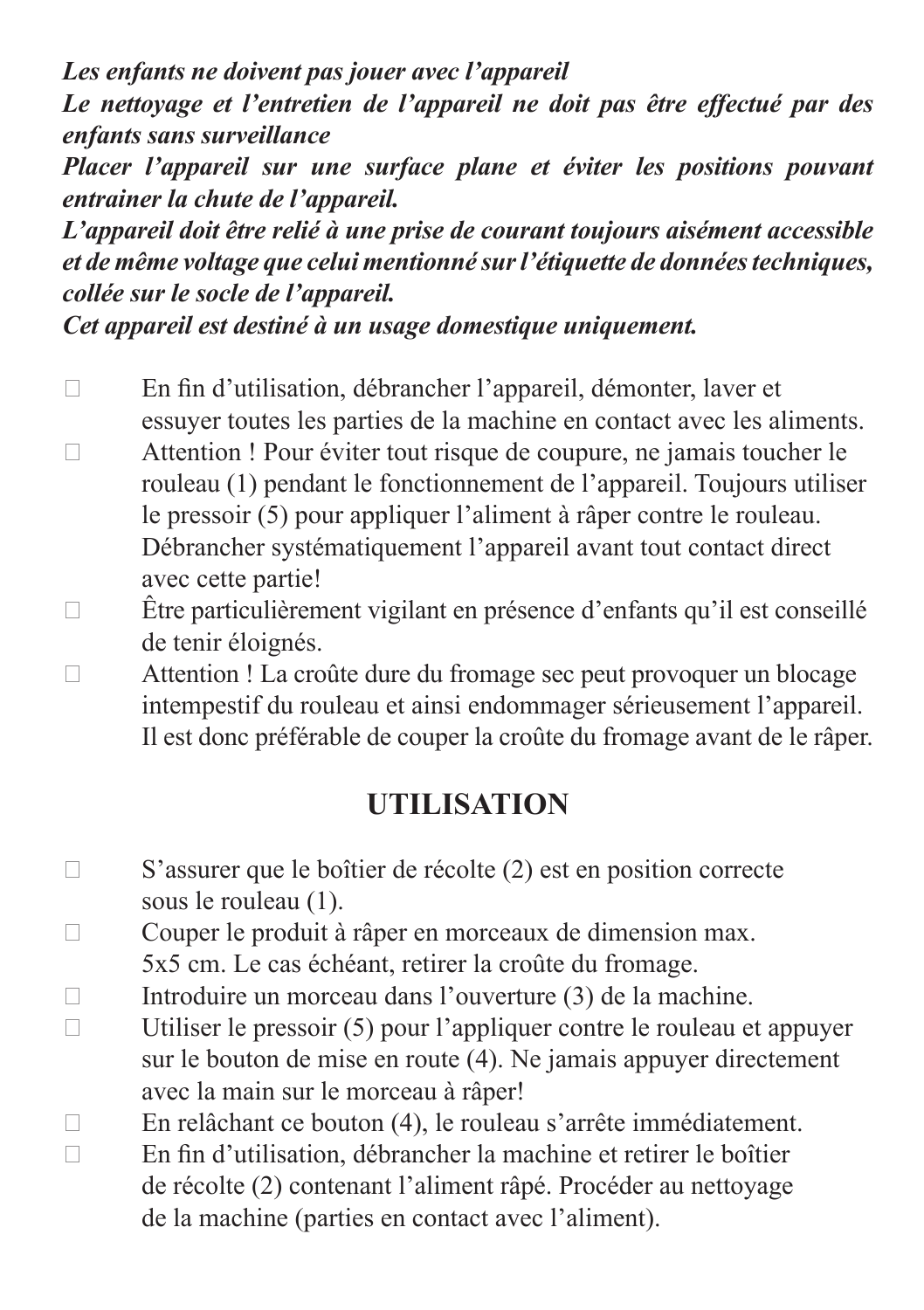*Les enfants ne doivent pas jouer avec l'appareil Le nettoyage et l'entretien de l'appareil ne doit pas être effectué par des enfants sans surveillance*

*Placer l'appareil sur une surface plane et éviter les positions pouvant entrainer la chute de l'appareil.* 

*L'appareil doit être relié à une prise de courant toujours aisément accessible et de même voltage que celui mentionné sur l'étiquette de données techniques, collée sur le socle de l'appareil.* 

*Cet appareil est destiné à un usage domestique uniquement.*

- En fin d'utilisation, débrancher l'appareil, démonter, laver et essuyer toutes les parties de la machine en contact avec les aliments. Attention ! Pour éviter tout risque de coupure, ne jamais toucher le rouleau (1) pendant le fonctionnement de l'appareil. Toujours utiliser le pressoir (5) pour appliquer l'aliment à râper contre le rouleau. Débrancher systématiquement l'appareil avant tout contact direct avec cette partie!
- Être particulièrement vigilant en présence d'enfants qu'il est conseillé de tenir éloignés.
- Attention ! La croûte dure du fromage sec peut provoquer un blocage intempestif du rouleau et ainsi endommager sérieusement l'appareil. Il est donc préférable de couper la croûte du fromage avant de le râper.

### **UTILISATION**

- S'assurer que le boîtier de récolte (2) est en position correcte sous le rouleau (1).
- Couper le produit à râper en morceaux de dimension max.
	- 5x5 cm. Le cas échéant, retirer la croûte du fromage.
- $\Box$  Introduire un morceau dans l'ouverture (3) de la machine.
- $\Box$  Utiliser le pressoir (5) pour l'appliquer contre le rouleau et appuyer sur le bouton de mise en route (4). Ne jamais appuyer directement avec la main sur le morceau à râper!
- En relâchant ce bouton (4), le rouleau s'arrête immédiatement.  $\Box$  En fin d'utilisation, débrancher la machine et retirer le boîtier de récolte (2) contenant l'aliment râpé. Procéder au nettoyage de la machine (parties en contact avec l'aliment).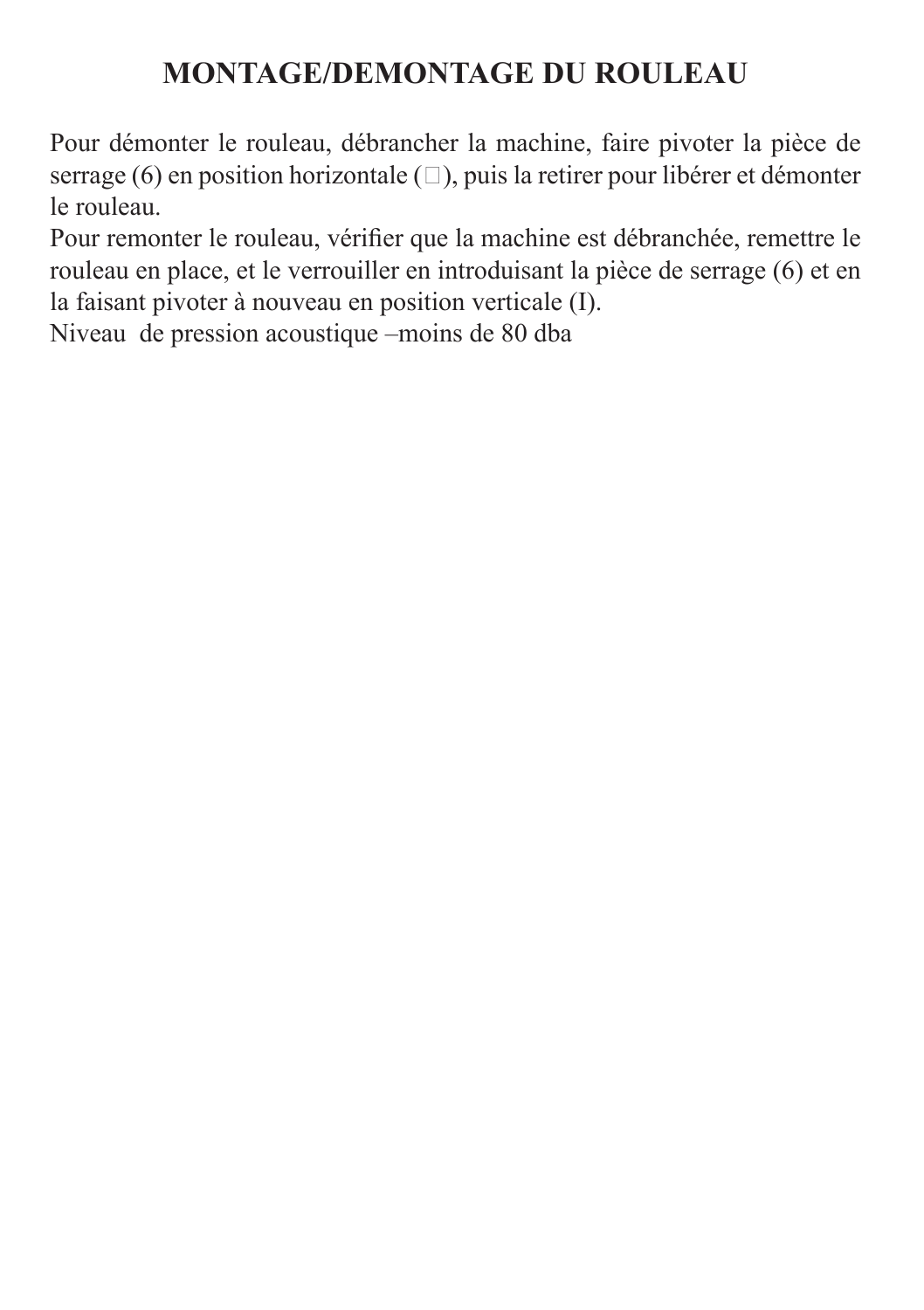#### **MONTAGE/DEMONTAGE DU ROULEAU**

Pour démonter le rouleau, débrancher la machine, faire pivoter la pièce de serrage (6) en position horizontale  $(\square)$ , puis la retirer pour libérer et démonter le rouleau.

Pour remonter le rouleau, vérifier que la machine est débranchée, remettre le rouleau en place, et le verrouiller en introduisant la pièce de serrage (6) et en la faisant pivoter à nouveau en position verticale (I).

Niveau de pression acoustique –moins de 80 dba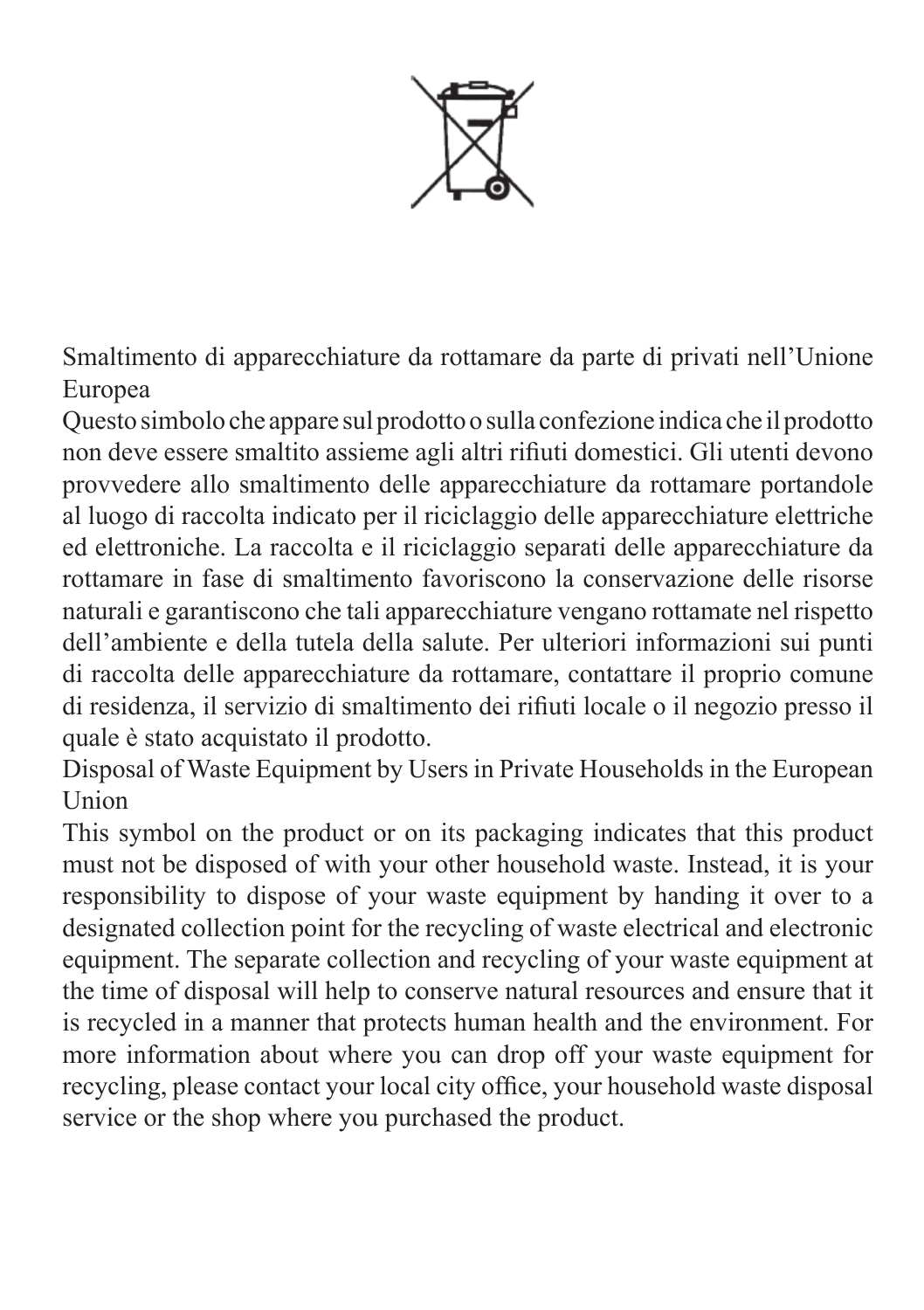

Smaltimento di apparecchiature da rottamare da parte di privati nell'Unione Europea

Questo simbolo che appare sul prodotto o sulla confezione indica che il prodotto non deve essere smaltito assieme agli altri rifiuti domestici. Gli utenti devono provvedere allo smaltimento delle apparecchiature da rottamare portandole al luogo di raccolta indicato per il riciclaggio delle apparecchiature elettriche ed elettroniche. La raccolta e il riciclaggio separati delle apparecchiature da rottamare in fase di smaltimento favoriscono la conservazione delle risorse naturali e garantiscono che tali apparecchiature vengano rottamate nel rispetto dell'ambiente e della tutela della salute. Per ulteriori informazioni sui punti di raccolta delle apparecchiature da rottamare, contattare il proprio comune di residenza, il servizio di smaltimento dei rifiuti locale o il negozio presso il quale è stato acquistato il prodotto.

Disposal of Waste Equipment by Users in Private Households in the European Union

This symbol on the product or on its packaging indicates that this product must not be disposed of with your other household waste. Instead, it is your responsibility to dispose of your waste equipment by handing it over to a designated collection point for the recycling of waste electrical and electronic equipment. The separate collection and recycling of your waste equipment at the time of disposal will help to conserve natural resources and ensure that it is recycled in a manner that protects human health and the environment. For more information about where you can drop off your waste equipment for recycling, please contact your local city office, your household waste disposal service or the shop where you purchased the product.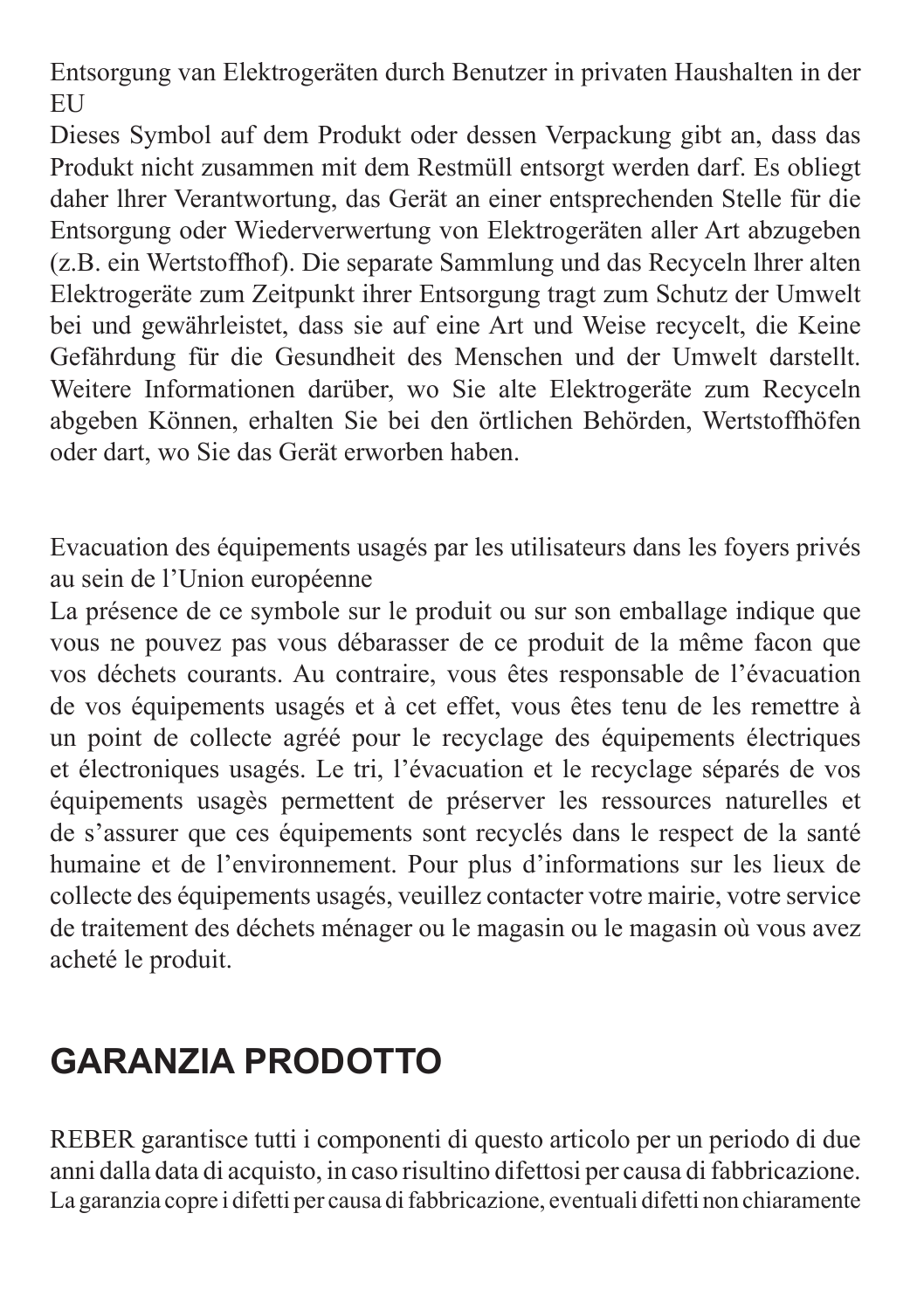Entsorgung van Elektrogeräten durch Benutzer in privaten Haushalten in der **EU** 

Dieses Symbol auf dem Produkt oder dessen Verpackung gibt an, dass das Produkt nicht zusammen mit dem Restmüll entsorgt werden darf. Es obliegt daher lhrer Verantwortung, das Gerät an einer entsprechenden Stelle für die Entsorgung oder Wiederverwertung von Elektrogeräten aller Art abzugeben (z.B. ein Wertstoffhof). Die separate Sammlung und das Recyceln lhrer alten Elektrogeräte zum Zeitpunkt ihrer Entsorgung tragt zum Schutz der Umwelt bei und gewährleistet, dass sie auf eine Art und Weise recycelt, die Keine Gefährdung für die Gesundheit des Menschen und der Umwelt darstellt. Weitere Informationen darüber, wo Sie alte Elektrogeräte zum Recyceln abgeben Können, erhalten Sie bei den örtlichen Behörden, Wertstoffhöfen oder dart, wo Sie das Gerät erworben haben.

Evacuation des équipements usagés par les utilisateurs dans les foyers privés au sein de l'Union européenne

La présence de ce symbole sur le produit ou sur son emballage indique que vous ne pouvez pas vous débarasser de ce produit de la même facon que vos déchets courants. Au contraire, vous êtes responsable de l'évacuation de vos équipements usagés et à cet effet, vous êtes tenu de les remettre à un point de collecte agréé pour le recyclage des équipements électriques et électroniques usagés. Le tri, l'évacuation et le recyclage séparés de vos équipements usagès permettent de préserver les ressources naturelles et de s'assurer que ces équipements sont recyclés dans le respect de la santé humaine et de l'environnement. Pour plus d'informations sur les lieux de collecte des équipements usagés, veuillez contacter votre mairie, votre service de traitement des déchets ménager ou le magasin ou le magasin où vous avez acheté le produit.

## **GARANZIA PRODOTTO**

REBER garantisce tutti i componenti di questo articolo per un periodo di due anni dalla data di acquisto, in caso risultino difettosi per causa di fabbricazione. La garanzia copre i difetti per causa di fabbricazione, eventuali difetti non chiaramente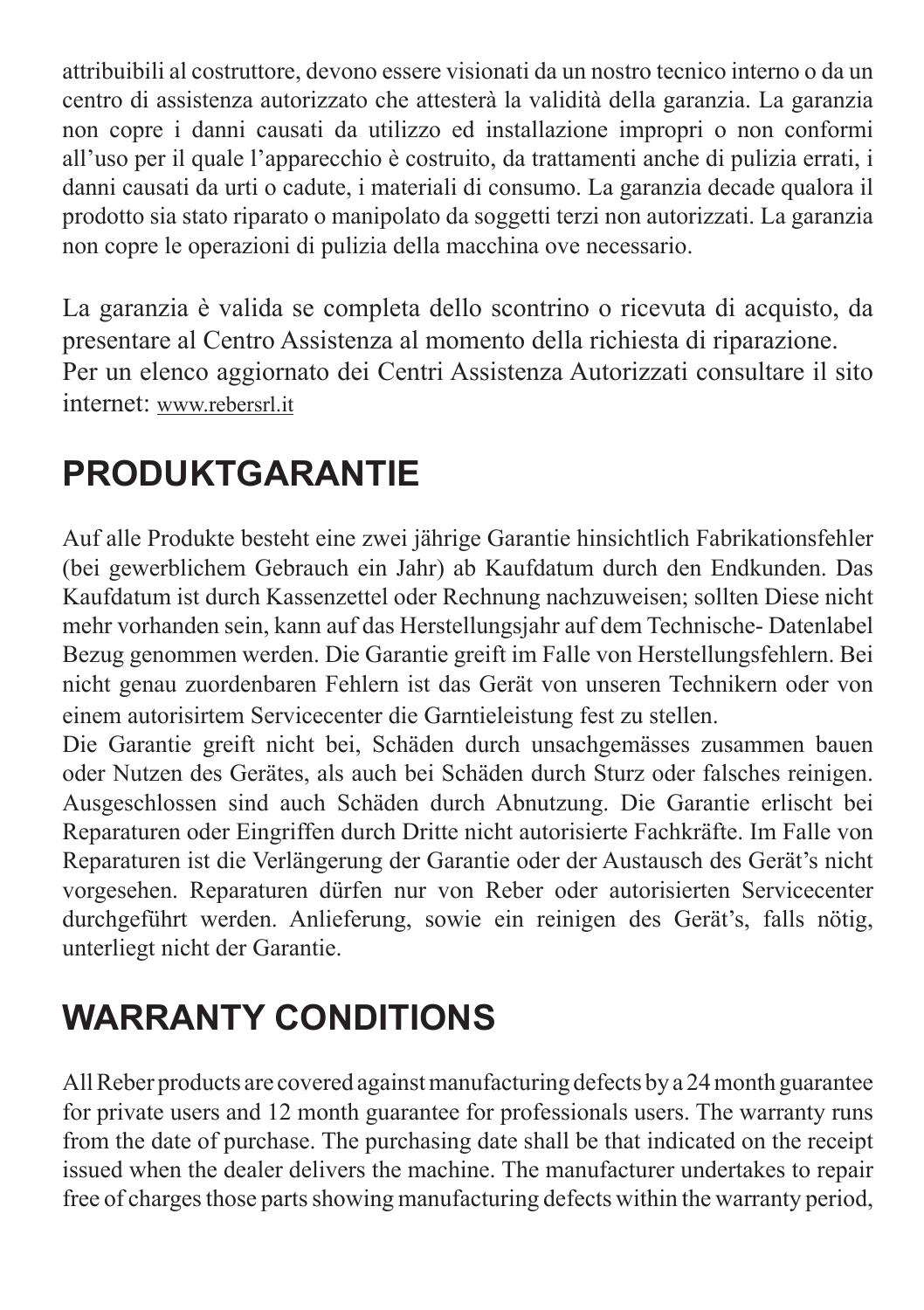attribuibili al costruttore, devono essere visionati da un nostro tecnico interno o da un centro di assistenza autorizzato che attesterà la validità della garanzia. La garanzia non copre i danni causati da utilizzo ed installazione impropri o non conformi all'uso per il quale l'apparecchio è costruito, da trattamenti anche di pulizia errati, i danni causati da urti o cadute, i materiali di consumo. La garanzia decade qualora il prodotto sia stato riparato o manipolato da soggetti terzi non autorizzati. La garanzia non copre le operazioni di pulizia della macchina ove necessario.

La garanzia è valida se completa dello scontrino o ricevuta di acquisto, da presentare al Centro Assistenza al momento della richiesta di riparazione. Per un elenco aggiornato dei Centri Assistenza Autorizzati consultare il sito internet: www.rebersrl.it

# **PRODUKTGARANTIE**

Auf alle Produkte besteht eine zwei jährige Garantie hinsichtlich Fabrikationsfehler (bei gewerblichem Gebrauch ein Jahr) ab Kaufdatum durch den Endkunden. Das Kaufdatum ist durch Kassenzettel oder Rechnung nachzuweisen; sollten Diese nicht mehr vorhanden sein, kann auf das Herstellungsjahr auf dem Technische- Datenlabel Bezug genommen werden. Die Garantie greift im Falle von Herstellungsfehlern. Bei nicht genau zuordenbaren Fehlern ist das Gerät von unseren Technikern oder von einem autorisirtem Servicecenter die Garntieleistung fest zu stellen.

Die Garantie greift nicht bei, Schäden durch unsachgemässes zusammen bauen oder Nutzen des Gerätes, als auch bei Schäden durch Sturz oder falsches reinigen. Ausgeschlossen sind auch Schäden durch Abnutzung. Die Garantie erlischt bei Reparaturen oder Eingriffen durch Dritte nicht autorisierte Fachkräfte. Im Falle von Reparaturen ist die Verlängerung der Garantie oder der Austausch des Gerät's nicht vorgesehen. Reparaturen dürfen nur von Reber oder autorisierten Servicecenter durchgeführt werden. Anlieferung, sowie ein reinigen des Gerät's, falls nötig, unterliegt nicht der Garantie.

## **WARRANTY CONDITIONS**

All Reber products are covered against manufacturing defects by a 24 month guarantee for private users and 12 month guarantee for professionals users. The warranty runs from the date of purchase. The purchasing date shall be that indicated on the receipt issued when the dealer delivers the machine. The manufacturer undertakes to repair free of charges those parts showing manufacturing defects within the warranty period,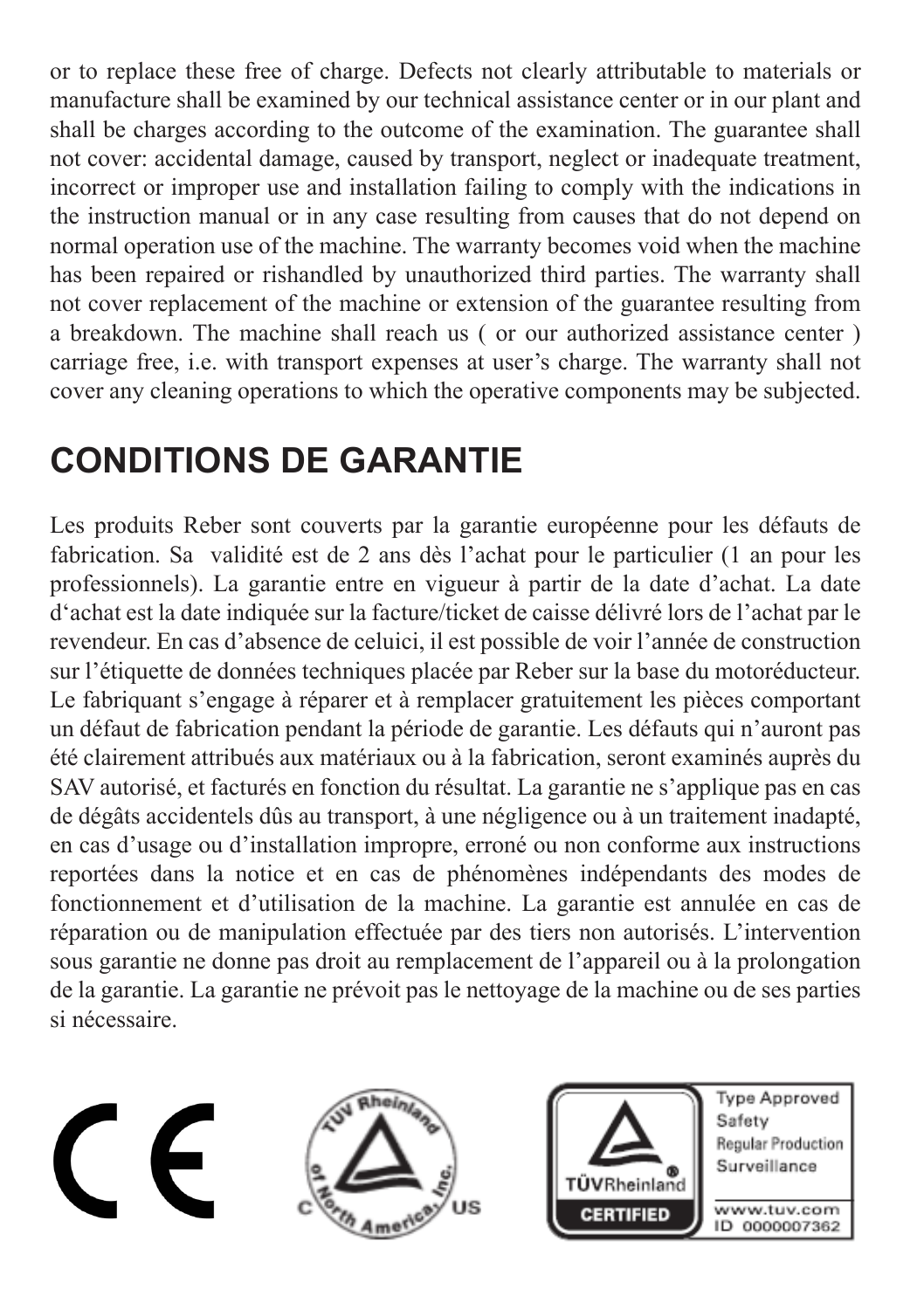or to replace these free of charge. Defects not clearly attributable to materials or manufacture shall be examined by our technical assistance center or in our plant and shall be charges according to the outcome of the examination. The guarantee shall not cover: accidental damage, caused by transport, neglect or inadequate treatment, incorrect or improper use and installation failing to comply with the indications in the instruction manual or in any case resulting from causes that do not depend on normal operation use of the machine. The warranty becomes void when the machine has been repaired or rishandled by unauthorized third parties. The warranty shall not cover replacement of the machine or extension of the guarantee resulting from a breakdown. The machine shall reach us ( or our authorized assistance center ) carriage free, i.e. with transport expenses at user's charge. The warranty shall not cover any cleaning operations to which the operative components may be subjected.

# **CONDITIONS DE GARANTIE**

Les produits Reber sont couverts par la garantie européenne pour les défauts de fabrication. Sa validité est de 2 ans dès l'achat pour le particulier (1 an pour les professionnels). La garantie entre en vigueur à partir de la date d'achat. La date d'achat est la date indiquée sur la facture/ticket de caisse délivré lors de l'achat par le revendeur. En cas d'absence de celuici, il est possible de voir l'année de construction sur l'étiquette de données techniques placée par Reber sur la base du motoréducteur. Le fabriquant s'engage à réparer et à remplacer gratuitement les pièces comportant un défaut de fabrication pendant la période de garantie. Les défauts qui n'auront pas été clairement attribués aux matériaux ou à la fabrication, seront examinés auprès du SAV autorisé, et facturés en fonction du résultat. La garantie ne s'applique pas en cas de dégâts accidentels dûs au transport, à une négligence ou à un traitement inadapté, en cas d'usage ou d'installation impropre, erroné ou non conforme aux instructions reportées dans la notice et en cas de phénomènes indépendants des modes de fonctionnement et d'utilisation de la machine. La garantie est annulée en cas de réparation ou de manipulation effectuée par des tiers non autorisés. L'intervention sous garantie ne donne pas droit au remplacement de l'appareil ou à la prolongation de la garantie. La garantie ne prévoit pas le nettoyage de la machine ou de ses parties si nécessaire.